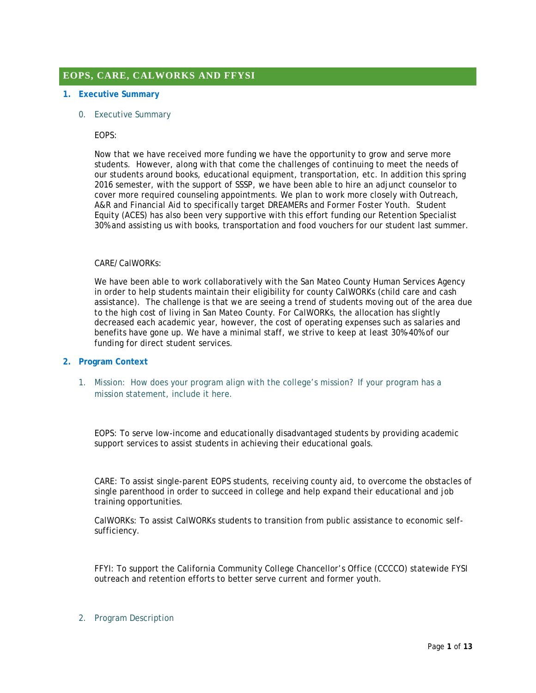# **EOPS, CARE, CALWORKS AND FFYSI**

#### **1. Executive Summary**

0. Executive Summary

EOPS:

Now that we have received more funding we have the opportunity to grow and serve more students. However, along with that come the challenges of continuing to meet the needs of our students around books, educational equipment, transportation, etc. In addition this spring 2016 semester, with the support of SSSP, we have been able to hire an adjunct counselor to cover more required counseling appointments. We plan to work more closely with Outreach, A&R and Financial Aid to specifically target DREAMERs and Former Foster Youth. Student Equity (ACES) has also been very supportive with this effort funding our Retention Specialist 30% and assisting us with books, transportation and food vouchers for our student last summer.

#### CARE/CalWORKs:

We have been able to work collaboratively with the San Mateo County Human Services Agency in order to help students maintain their eligibility for county CalWORKs (child care and cash assistance). The challenge is that we are seeing a trend of students moving out of the area due to the high cost of living in San Mateo County. For CalWORKs, the allocation has slightly decreased each academic year, however, the cost of operating expenses such as salaries and benefits have gone up. We have a minimal staff, we strive to keep at least 30%-40% of our funding for direct student services.

#### **2. Program Context**

1. Mission: How does your program align with the college's mission? If your program has a mission statement, include it here.

EOPS: To serve low-income and educationally disadvantaged students by providing academic support services to assist students in achieving their educational goals.

CARE: To assist single-parent EOPS students, receiving county aid, to overcome the obstacles of single parenthood in order to succeed in college and help expand their educational and job training opportunities.

CalWORKs: To assist CalWORKs students to transition from public assistance to economic selfsufficiency.

FFYI: To support the California Community College Chancellor's Office (CCCCO) statewide FYSI outreach and retention efforts to better serve current and former youth.

#### 2. Program Description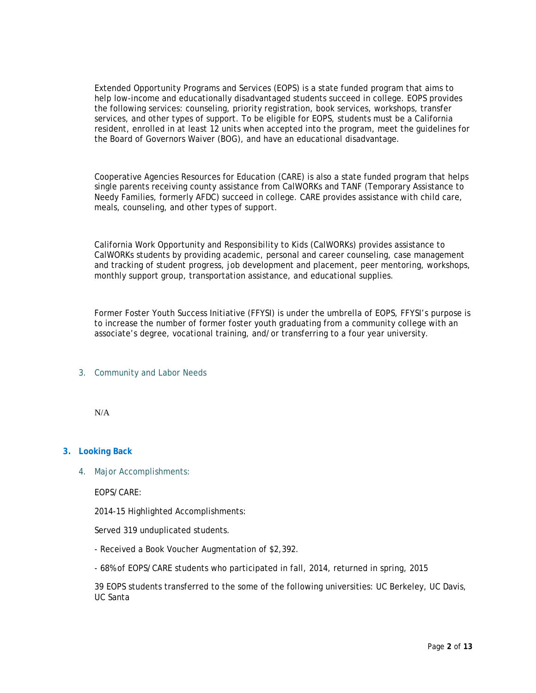Extended Opportunity Programs and Services (EOPS) is a state funded program that aims to help low-income and educationally disadvantaged students succeed in college. EOPS provides the following services: counseling, priority registration, book services, workshops, transfer services, and other types of support. To be eligible for EOPS, students must be a California resident, enrolled in at least 12 units when accepted into the program, meet the guidelines for the Board of Governors Waiver (BOG), and have an educational disadvantage.

Cooperative Agencies Resources for Education (CARE) is also a state funded program that helps single parents receiving county assistance from CalWORKs and TANF (Temporary Assistance to Needy Families, formerly AFDC) succeed in college. CARE provides assistance with child care, meals, counseling, and other types of support.

California Work Opportunity and Responsibility to Kids (CalWORKs) provides assistance to CalWORKs students by providing academic, personal and career counseling, case management and tracking of student progress, job development and placement, peer mentoring, workshops, monthly support group, transportation assistance, and educational supplies.

Former Foster Youth Success Initiative (FFYSI) is under the umbrella of EOPS, FFYSI's purpose is to increase the number of former foster youth graduating from a community college with an associate's degree, vocational training, and/or transferring to a four year university.

### 3. Community and Labor Needs

N/A

### **3. Looking Back**

4. Major Accomplishments:

EOPS/CARE:

2014-15 Highlighted Accomplishments:

Served 319 unduplicated students.

- Received a Book Voucher Augmentation of \$2,392.

- 68% of EOPS/CARE students who participated in fall, 2014, returned in spring, 2015

39 EOPS students transferred to the some of the following universities: UC Berkeley, UC Davis, UC Santa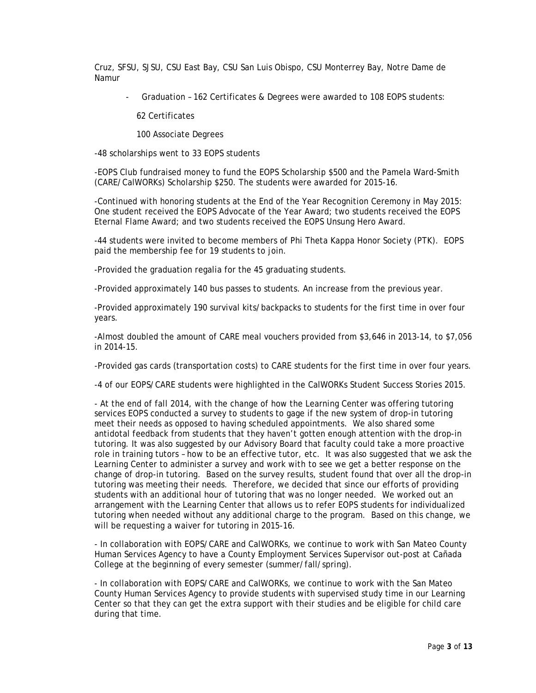Cruz, SFSU, SJSU, CSU East Bay, CSU San Luis Obispo, CSU Monterrey Bay, Notre Dame de Namur

- Graduation – 162 Certificates & Degrees were awarded to 108 EOPS students:

62 Certificates

100 Associate Degrees

-48 scholarships went to 33 EOPS students

-EOPS Club fundraised money to fund the EOPS Scholarship \$500 and the Pamela Ward-Smith (CARE/CalWORKs) Scholarship \$250. The students were awarded for 2015-16.

-Continued with honoring students at the End of the Year Recognition Ceremony in May 2015: One student received the EOPS Advocate of the Year Award; two students received the EOPS Eternal Flame Award; and two students received the EOPS Unsung Hero Award.

-44 students were invited to become members of Phi Theta Kappa Honor Society (PTK). EOPS paid the membership fee for 19 students to join.

-Provided the graduation regalia for the 45 graduating students.

-Provided approximately 140 bus passes to students. An increase from the previous year.

-Provided approximately 190 survival kits/backpacks to students for the first time in over four years.

-Almost doubled the amount of CARE meal vouchers provided from \$3,646 in 2013-14, to \$7,056 in 2014-15.

-Provided gas cards (transportation costs) to CARE students for the first time in over four years.

-4 of our EOPS/CARE students were highlighted in the CalWORKs Student Success Stories 2015.

- At the end of fall 2014, with the change of how the Learning Center was offering tutoring services EOPS conducted a survey to students to gage if the new system of drop-in tutoring meet their needs as opposed to having scheduled appointments. We also shared some antidotal feedback from students that they haven't gotten enough attention with the drop-in tutoring. It was also suggested by our Advisory Board that faculty could take a more proactive role in training tutors – how to be an effective tutor, etc. It was also suggested that we ask the Learning Center to administer a survey and work with to see we get a better response on the change of drop-in tutoring. Based on the survey results, student found that over all the drop-in tutoring was meeting their needs. Therefore, we decided that since our efforts of providing students with an additional hour of tutoring that was no longer needed. We worked out an arrangement with the Learning Center that allows us to refer EOPS students for individualized tutoring when needed without any additional charge to the program. Based on this change, we will be requesting a waiver for tutoring in 2015-16.

- In collaboration with EOPS/CARE and CalWORKs, we continue to work with San Mateo County Human Services Agency to have a County Employment Services Supervisor out-post at Cañada College at the beginning of every semester (summer/fall/spring).

- In collaboration with EOPS/CARE and CalWORKs, we continue to work with the San Mateo County Human Services Agency to provide students with supervised study time in our Learning Center so that they can get the extra support with their studies and be eligible for child care during that time.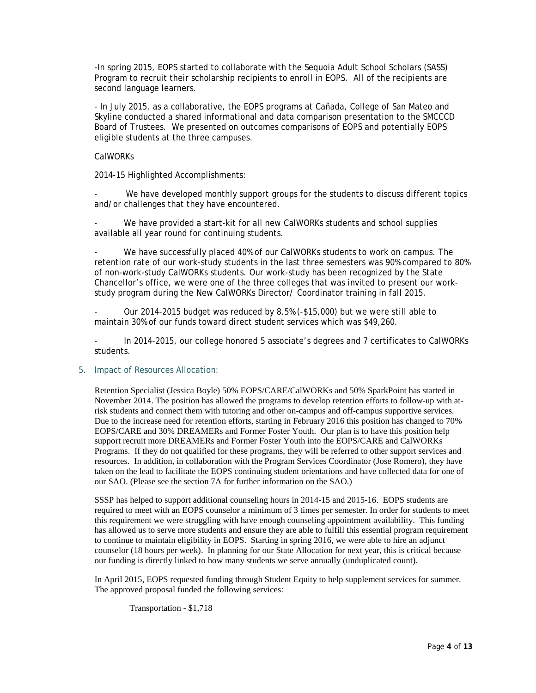-In spring 2015, EOPS started to collaborate with the Sequoia Adult School Scholars (SASS) Program to recruit their scholarship recipients to enroll in EOPS. All of the recipients are second language learners.

- In July 2015, as a collaborative, the EOPS programs at Cañada, College of San Mateo and Skyline conducted a shared informational and data comparison presentation to the SMCCCD Board of Trustees. We presented on outcomes comparisons of EOPS and potentially EOPS eligible students at the three campuses.

#### CalWORKs

2014-15 Highlighted Accomplishments:

We have developed monthly support groups for the students to discuss different topics and/or challenges that they have encountered.

We have provided a start-kit for all new CalWORKs students and school supplies available all year round for continuing students.

We have successfully placed 40% of our CalWORKs students to work on campus. The retention rate of our work-study students in the last three semesters was 90% compared to 80% of non-work-study CalWORKs students. Our work-study has been recognized by the State Chancellor's office, we were one of the three colleges that was invited to present our workstudy program during the New CalWORKs Director/ Coordinator training in fall 2015.

- Our 2014-2015 budget was reduced by 8.5% (-\$15,000) but we were still able to maintain 30% of our funds toward direct student services which was \$49,260.

- In 2014-2015, our college honored 5 associate's degrees and 7 certificates to CalWORKs students.

#### 5. Impact of Resources Allocation:

Retention Specialist (Jessica Boyle) 50% EOPS/CARE/CalWORKs and 50% SparkPoint has started in November 2014. The position has allowed the programs to develop retention efforts to follow-up with atrisk students and connect them with tutoring and other on-campus and off-campus supportive services. Due to the increase need for retention efforts, starting in February 2016 this position has changed to 70% EOPS/CARE and 30% DREAMERs and Former Foster Youth. Our plan is to have this position help support recruit more DREAMERs and Former Foster Youth into the EOPS/CARE and CalWORKs Programs. If they do not qualified for these programs, they will be referred to other support services and resources. In addition, in collaboration with the Program Services Coordinator (Jose Romero), they have taken on the lead to facilitate the EOPS continuing student orientations and have collected data for one of our SAO. (Please see the section 7A for further information on the SAO.)

SSSP has helped to support additional counseling hours in 2014-15 and 2015-16. EOPS students are required to meet with an EOPS counselor a minimum of 3 times per semester. In order for students to meet this requirement we were struggling with have enough counseling appointment availability. This funding has allowed us to serve more students and ensure they are able to fulfill this essential program requirement to continue to maintain eligibility in EOPS. Starting in spring 2016, we were able to hire an adjunct counselor (18 hours per week). In planning for our State Allocation for next year, this is critical because our funding is directly linked to how many students we serve annually (unduplicated count).

In April 2015, EOPS requested funding through Student Equity to help supplement services for summer. The approved proposal funded the following services:

Transportation - \$1,718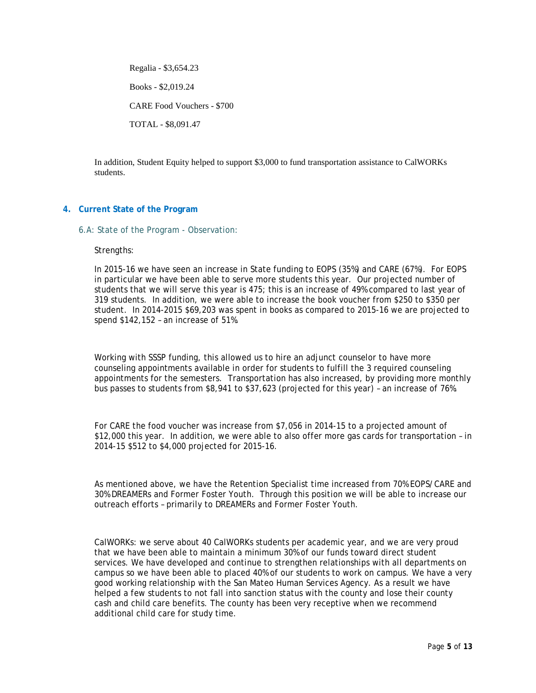Regalia - \$3,654.23 Books - \$2,019.24 CARE Food Vouchers - \$700 TOTAL - \$8,091.47

In addition, Student Equity helped to support \$3,000 to fund transportation assistance to CalWORKs students.

### **4. Current State of the Program**

6.A: State of the Program - Observation:

Strengths:

In 2015-16 we have seen an increase in State funding to EOPS (35%) and CARE (67%). For EOPS in particular we have been able to serve more students this year. Our projected number of students that we will serve this year is 475; this is an increase of 49% compared to last year of 319 students. In addition, we were able to increase the book voucher from \$250 to \$350 per student. In 2014-2015 \$69,203 was spent in books as compared to 2015-16 we are projected to spend \$142,152 – an increase of 51%.

Working with SSSP funding, this allowed us to hire an adjunct counselor to have more counseling appointments available in order for students to fulfill the 3 required counseling appointments for the semesters. Transportation has also increased, by providing more monthly bus passes to students from \$8,941 to \$37,623 (projected for this year) – an increase of 76%.

For CARE the food voucher was increase from \$7,056 in 2014-15 to a projected amount of \$12,000 this year. In addition, we were able to also offer more gas cards for transportation – in 2014-15 \$512 to \$4,000 projected for 2015-16.

As mentioned above, we have the Retention Specialist time increased from 70% EOPS/CARE and 30% DREAMERs and Former Foster Youth. Through this position we will be able to increase our outreach efforts – primarily to DREAMERs and Former Foster Youth.

CalWORKs: we serve about 40 CalWORKs students per academic year, and we are very proud that we have been able to maintain a minimum 30% of our funds toward direct student services. We have developed and continue to strengthen relationships with all departments on campus so we have been able to placed 40% of our students to work on campus. We have a very good working relationship with the San Mateo Human Services Agency. As a result we have helped a few students to not fall into sanction status with the county and lose their county cash and child care benefits. The county has been very receptive when we recommend additional child care for study time.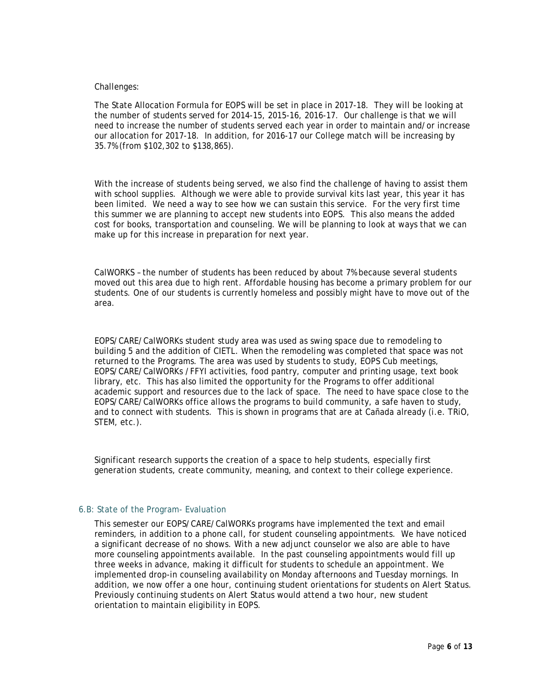#### Challenges:

The State Allocation Formula for EOPS will be set in place in 2017-18. They will be looking at the number of students served for 2014-15, 2015-16, 2016-17. Our challenge is that we will need to increase the number of students served each year in order to maintain and/or increase our allocation for 2017-18. In addition, for 2016-17 our College match will be increasing by 35.7% (from \$102,302 to \$138,865).

With the increase of students being served, we also find the challenge of having to assist them with school supplies. Although we were able to provide survival kits last year, this year it has been limited. We need a way to see how we can sustain this service. For the very first time this summer we are planning to accept new students into EOPS. This also means the added cost for books, transportation and counseling. We will be planning to look at ways that we can make up for this increase in preparation for next year.

CalWORKS – the number of students has been reduced by about 7% because several students moved out this area due to high rent. Affordable housing has become a primary problem for our students. One of our students is currently homeless and possibly might have to move out of the area.

EOPS/CARE/CalWORKs student study area was used as swing space due to remodeling to building 5 and the addition of CIETL. When the remodeling was completed that space was not returned to the Programs. The area was used by students to study, EOPS Cub meetings, EOPS/CARE/CalWORKs /FFYI activities, food pantry, computer and printing usage, text book library, etc. This has also limited the opportunity for the Programs to offer additional academic support and resources due to the lack of space. The need to have space close to the EOPS/CARE/CalWORKs office allows the programs to build community, a safe haven to study, and to connect with students. This is shown in programs that are at Cañada already (i.e. TRiO, STEM, etc.).

Significant research supports the creation of a space to help students, especially first generation students, create community, meaning, and context to their college experience.

#### 6.B: State of the Program- Evaluation

This semester our EOPS/CARE/CalWORKs programs have implemented the text and email reminders, in addition to a phone call, for student counseling appointments. We have noticed a significant decrease of no shows. With a new adjunct counselor we also are able to have more counseling appointments available. In the past counseling appointments would fill up three weeks in advance, making it difficult for students to schedule an appointment. We implemented drop-in counseling availability on Monday afternoons and Tuesday mornings. In addition, we now offer a one hour, continuing student orientations for students on Alert Status. Previously continuing students on Alert Status would attend a two hour, new student orientation to maintain eligibility in EOPS.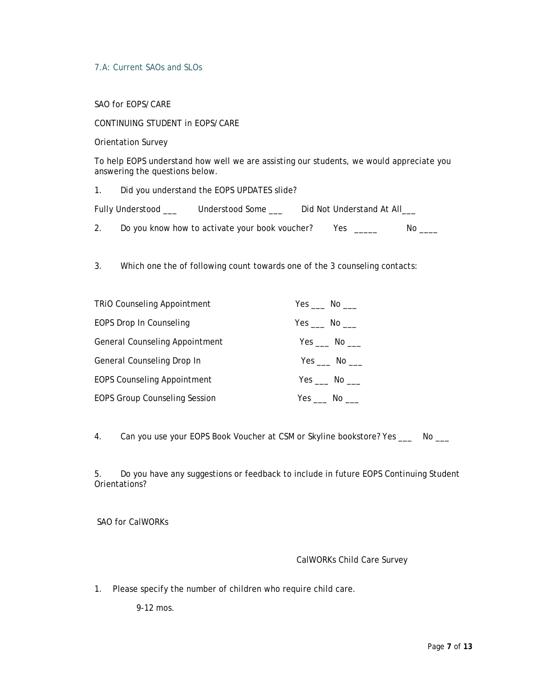## 7.A: Current SAOs and SLOs

SAO for EOPS/CARE

CONTINUING STUDENT in EOPS/CARE

Orientation Survey

To help EOPS understand how well we are assisting our students, we would appreciate you answering the questions below.

1. Did you understand the EOPS UPDATES slide?

Fully Understood \_\_\_ Understood Some \_\_\_ Did Not Understand At All\_\_\_

2. Do you know how to activate your book voucher? Yes \_\_\_\_\_ No \_\_\_

3. Which one the of following count towards one of the 3 counseling contacts:

| <b>TRIO Counseling Appointment</b>    | $Yes$ No $\_\_$           |
|---------------------------------------|---------------------------|
| EOPS Drop In Counseling               | Yes No                    |
| <b>General Counseling Appointment</b> | Yes No                    |
| General Counseling Drop In            | $Yes$ No $\_\_$           |
| <b>EOPS Counseling Appointment</b>    | Yes $\_\_\_$ No $\_\_\_\$ |
| <b>EOPS Group Counseling Session</b>  | Yes $\_\_\$ No $\_\_\_\$  |

4. Can you use your EOPS Book Voucher at CSM or Skyline bookstore? Yes \_\_\_ No \_\_\_

5. Do you have any suggestions or feedback to include in future EOPS Continuing Student Orientations?

SAO for CalWORKs

## CalWORKs Child Care Survey

1. Please specify the number of children who require child care.

9-12 mos.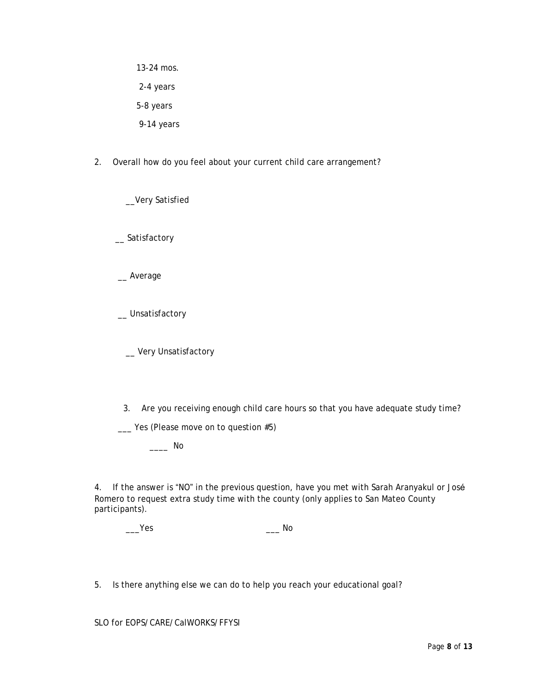13-24 mos. 2-4 years 5-8 years 9-14 years

2. Overall how do you feel about your current child care arrangement?

\_\_Very Satisfied

\_\_ Satisfactory

\_\_ Average

\_\_ Unsatisfactory

\_ Very Unsatisfactory

3. Are you receiving enough child care hours so that you have adequate study time?

\_\_\_ Yes (Please move on to question #5)

\_\_\_\_ No

4. If the answer is "NO" in the previous question, have you met with Sarah Aranyakul or José Romero to request extra study time with the county (only applies to San Mateo County participants).

| Yes | No |
|-----|----|
|-----|----|

5. Is there anything else we can do to help you reach your educational goal?

SLO for EOPS/CARE/CalWORKS/FFYSI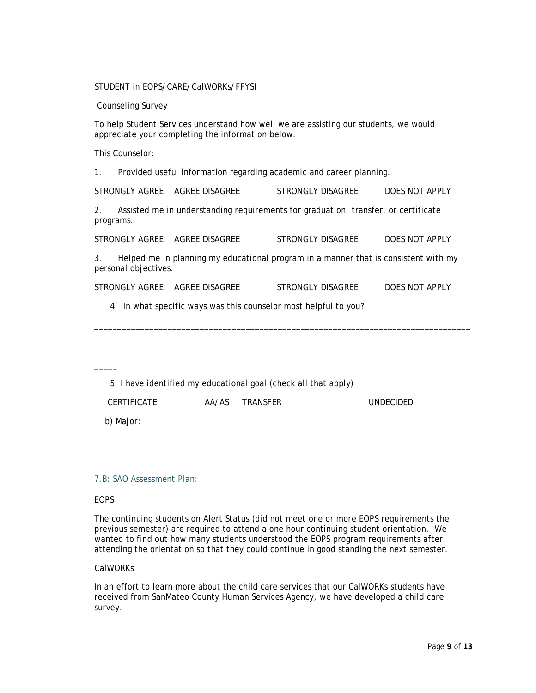STUDENT in EOPS/CARE/CalWORKs/FFYSI

Counseling Survey

To help Student Services understand how well we are assisting our students, we would appreciate your completing the information below.

This Counselor:

1. Provided useful information regarding academic and career planning.

STRONGLY AGREE AGREE DISAGREE STRONGLY DISAGREE DOES NOT APPLY

2. Assisted me in understanding requirements for graduation, transfer, or certificate programs.

STRONGLY AGREE AGREE DISAGREE STRONGLY DISAGREE DOES NOT APPLY

3. Helped me in planning my educational program in a manner that is consistent with my personal objectives.

STRONGLY AGREE AGREE DISAGREE STRONGLY DISAGREE DOES NOT APPLY

\_\_\_\_\_\_\_\_\_\_\_\_\_\_\_\_\_\_\_\_\_\_\_\_\_\_\_\_\_\_\_\_\_\_\_\_\_\_\_\_\_\_\_\_\_\_\_\_\_\_\_\_\_\_\_\_\_\_\_\_\_\_\_\_\_\_\_\_\_\_\_\_\_\_\_\_\_\_\_\_\_\_

\_\_\_\_\_\_\_\_\_\_\_\_\_\_\_\_\_\_\_\_\_\_\_\_\_\_\_\_\_\_\_\_\_\_\_\_\_\_\_\_\_\_\_\_\_\_\_\_\_\_\_\_\_\_\_\_\_\_\_\_\_\_\_\_\_\_\_\_\_\_\_\_\_\_\_\_\_\_\_\_\_\_

4. In what specific ways was this counselor most helpful to you?

5. I have identified my educational goal (check all that apply)

CERTIFICATE AA/AS TRANSFER UNDECIDED

b) Major:

\_\_\_\_\_

\_\_\_\_\_

### 7.B: SAO Assessment Plan:

#### **FOPS**

The continuing students on Alert Status (did not meet one or more EOPS requirements the previous semester) are required to attend a one hour continuing student orientation. We wanted to find out how many students understood the EOPS program requirements after attending the orientation so that they could continue in good standing the next semester.

### CalWORKs

In an effort to learn more about the child care services that our CalWORKs students have received from SanMateo County Human Services Agency, we have developed a child care survey.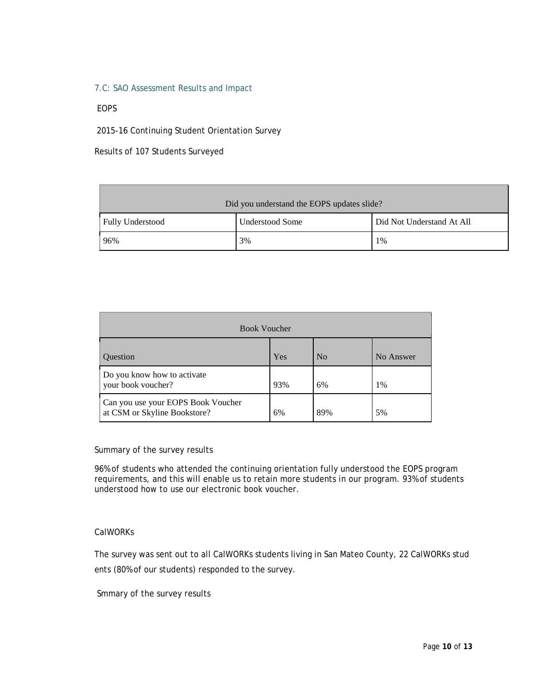### 7.C: SAO Assessment Results and Impact

## EOPS

2015-16 Continuing Student Orientation Survey

Results of 107 Students Surveyed

| Did you understand the EOPS updates slide? |                 |                           |  |  |  |
|--------------------------------------------|-----------------|---------------------------|--|--|--|
| <b>Fully Understood</b>                    | Understood Some | Did Not Understand At All |  |  |  |
| 96%                                        | 3%              | $1\%$                     |  |  |  |

| <b>Book Voucher</b>                                                |     |                |           |  |  |
|--------------------------------------------------------------------|-----|----------------|-----------|--|--|
| <b>Ouestion</b>                                                    | Yes | N <sub>0</sub> | No Answer |  |  |
| Do you know how to activate<br>your book voucher?                  | 93% | 6%             | 1%        |  |  |
| Can you use your EOPS Book Voucher<br>at CSM or Skyline Bookstore? | 6%  | 89%            | 5%        |  |  |

Summary of the survey results

96% of students who attended the continuing orientation fully understood the EOPS program requirements, and this will enable us to retain more students in our program. 93% of students understood how to use our electronic book voucher.

### CalWORKs

The survey was sent out to all CalWORKs students living in San Mateo County, 22 CalWORKs stud ents (80% of our students) responded to the survey.

Smmary of the survey results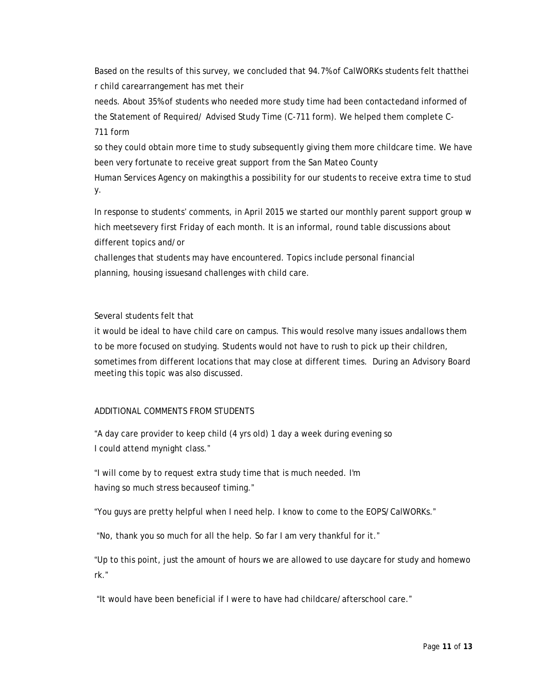Based on the results of this survey, we concluded that 94.7% of CalWORKs students felt thatthei r child carearrangement has met their

needs. About 35% of students who needed more study time had been contactedand informed of the Statement of Required/ Advised Study Time (C-711 form). We helped them complete C-711 form

so they could obtain more time to study subsequently giving them more childcare time. We have been very fortunate to receive great support from the San Mateo County

Human Services Agency on makingthis a possibility for our students to receive extra time to stud y.

In response to students' comments, in April 2015 we started our monthly parent support group w hich meetsevery first Friday of each month. It is an informal, round table discussions about different topics and/or

challenges that students may have encountered. Topics include personal financial planning, housing issuesand challenges with child care.

Several students felt that

it would be ideal to have child care on campus. This would resolve many issues andallows them to be more focused on studying. Students would not have to rush to pick up their children, sometimes from different locations that may close at different times. During an Advisory Board meeting this topic was also discussed.

## ADDITIONAL COMMENTS FROM STUDENTS

"A day care provider to keep child (4 yrs old) 1 day a week during evening so I could attend mynight class."

"I will come by to request extra study time that is much needed. I'm having so much stress becauseof timing."

"You guys are pretty helpful when I need help. I know to come to the EOPS/CalWORKs."

"No, thank you so much for all the help. So far I am very thankful for it."

"Up to this point, just the amount of hours we are allowed to use daycare for study and homewo rk."

"It would have been beneficial if I were to have had childcare/afterschool care."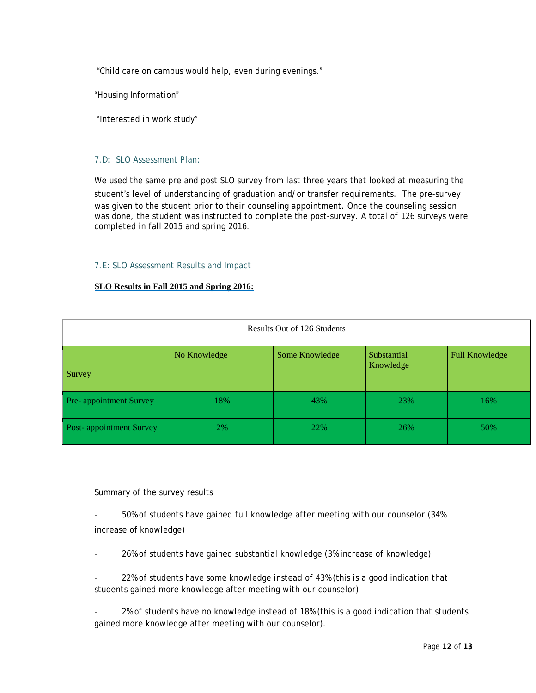"Child care on campus would help, even during evenings."

"Housing Information"

"Interested in work study"

## 7.D: SLO Assessment Plan:

We used the same pre and post SLO survey from last three years that looked at measuring the student's level of understanding of graduation and/or transfer requirements. The pre-survey was given to the student prior to their counseling appointment. Once the counseling session was done, the student was instructed to complete the post-survey. A total of 126 surveys were completed in fall 2015 and spring 2016.

## 7.E: SLO Assessment Results and Impact

## **SLO Results in Fall 2015 and Spring 2016:**

| Results Out of 126 Students |              |                |                          |                       |  |  |
|-----------------------------|--------------|----------------|--------------------------|-----------------------|--|--|
| Survey                      | No Knowledge | Some Knowledge | Substantial<br>Knowledge | <b>Full Knowledge</b> |  |  |
| Pre-appointment Survey      | 18%          | 43%            | 23%                      | 16%                   |  |  |
| Post-appointment Survey     | 2%           | 22%            | 26%                      | 50%                   |  |  |

Summary of the survey results

- 50% of students have gained full knowledge after meeting with our counselor (34% increase of knowledge)

26% of students have gained substantial knowledge (3% increase of knowledge)

22% of students have some knowledge instead of 43% (this is a good indication that students gained more knowledge after meeting with our counselor)

2% of students have no knowledge instead of 18% (this is a good indication that students gained more knowledge after meeting with our counselor).